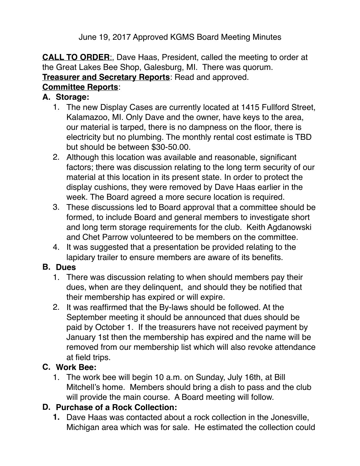June 19, 2017 Approved KGMS Board Meeting Minutes

**CALL TO ORDER**:, Dave Haas, President, called the meeting to order at the Great Lakes Bee Shop, Galesburg, MI. There was quorum. **Treasurer and Secretary Reports**: Read and approved. **Committee Reports**:

#### **A. Storage:**

- 1. The new Display Cases are currently located at 1415 Fullford Street, Kalamazoo, MI. Only Dave and the owner, have keys to the area, our material is tarped, there is no dampness on the floor, there is electricity but no plumbing. The monthly rental cost estimate is TBD but should be between \$30-50.00.
- 2. Although this location was available and reasonable, significant factors; there was discussion relating to the long term security of our material at this location in its present state. In order to protect the display cushions, they were removed by Dave Haas earlier in the week. The Board agreed a more secure location is required.
- 3. These discussions led to Board approval that a committee should be formed, to include Board and general members to investigate short and long term storage requirements for the club. Keith Agdanowski and Chet Parrow volunteered to be members on the committee.
- 4. It was suggested that a presentation be provided relating to the lapidary trailer to ensure members are aware of its benefits.

### **B. Dues**

- 1. There was discussion relating to when should members pay their dues, when are they delinquent, and should they be notified that their membership has expired or will expire.
- 2. It was reaffirmed that the By-laws should be followed. At the September meeting it should be announced that dues should be paid by October 1. If the treasurers have not received payment by January 1st then the membership has expired and the name will be removed from our membership list which will also revoke attendance at field trips.

# **C. Work Bee:**

1. The work bee will begin 10 a.m. on Sunday, July 16th, at Bill Mitchell's home. Members should bring a dish to pass and the club will provide the main course. A Board meeting will follow.

# **D. Purchase of a Rock Collection:**

**1.** Dave Haas was contacted about a rock collection in the Jonesville, Michigan area which was for sale. He estimated the collection could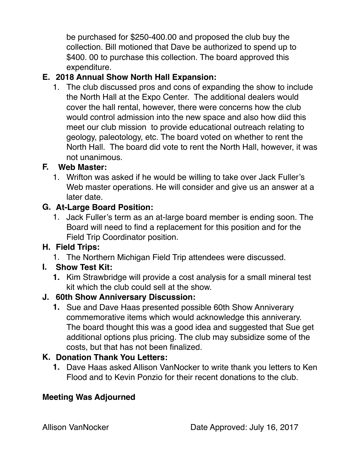be purchased for \$250-400.00 and proposed the club buy the collection. Bill motioned that Dave be authorized to spend up to \$400. 00 to purchase this collection. The board approved this expenditure.

# **E. 2018 Annual Show North Hall Expansion:**

1. The club discussed pros and cons of expanding the show to include the North Hall at the Expo Center. The additional dealers would cover the hall rental, however, there were concerns how the club would control admission into the new space and also how diid this meet our club mission to provide educational outreach relating to geology, paleotology, etc. The board voted on whether to rent the North Hall. The board did vote to rent the North Hall, however, it was not unanimous.

## **F. Web Master:**

1. Wrifton was asked if he would be willing to take over Jack Fuller's Web master operations. He will consider and give us an answer at a later date.

### **G. At-Large Board Position:**

1. Jack Fuller's term as an at-large board member is ending soon. The Board will need to find a replacement for this position and for the Field Trip Coordinator position.

### **H. Field Trips:**

1. The Northern Michigan Field Trip attendees were discussed.

### **I. Show Test Kit:**

**1.** Kim Strawbridge will provide a cost analysis for a small mineral test kit which the club could sell at the show.

### **J. 60th Show Anniversary Discussion:**

**1.** Sue and Dave Haas presented possible 60th Show Anniverary commemorative items which would acknowledge this anniverary. The board thought this was a good idea and suggested that Sue get additional options plus pricing. The club may subsidize some of the costs, but that has not been finalized.

### **K. Donation Thank You Letters:**

**1.** Dave Haas asked Allison VanNocker to write thank you letters to Ken Flood and to Kevin Ponzio for their recent donations to the club.

# **Meeting Was Adjourned**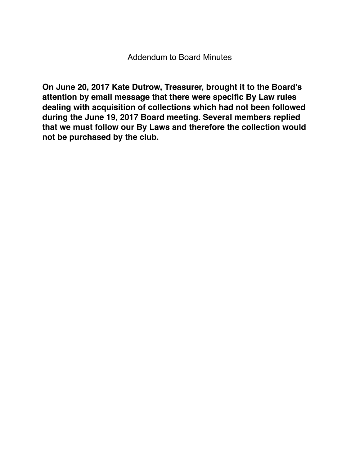**On June 20, 2017 Kate Dutrow, Treasurer, brought it to the Board's attention by email message that there were specific By Law rules dealing with acquisition of collections which had not been followed during the June 19, 2017 Board meeting. Several members replied that we must follow our By Laws and therefore the collection would not be purchased by the club.**